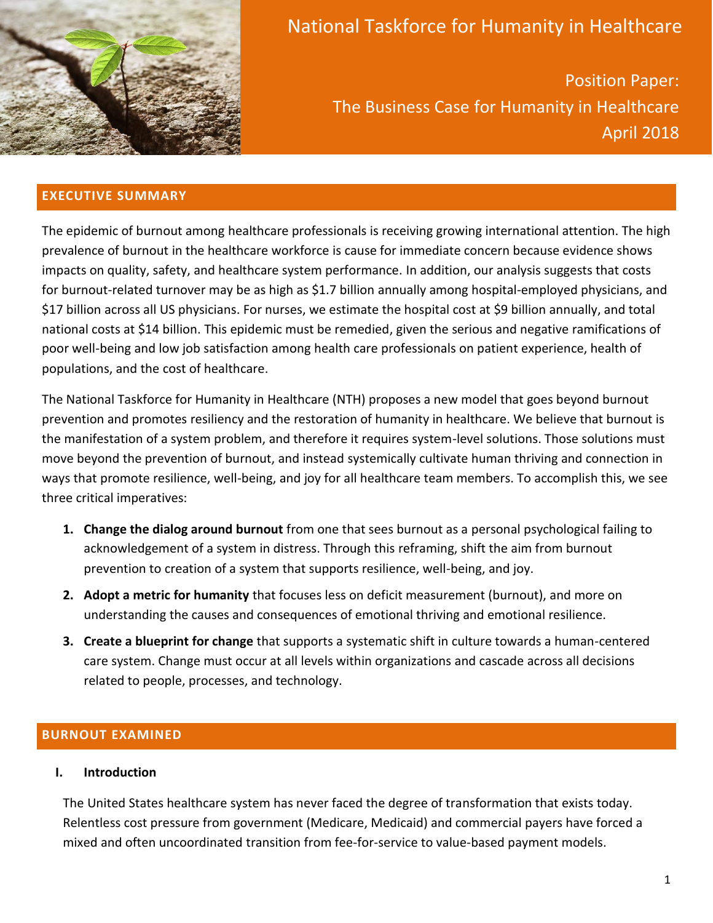

# National Taskforce for Humanity in Healthcare

Position Paper: The Business Case for Humanity in Healthcare April 2018

## **EXECUTIVE SUMMARY**

The epidemic of burnout among healthcare professionals is receiving growing international attention. The high prevalence of burnout in the healthcare workforce is cause for immediate concern because evidence shows impacts on quality, safety, and healthcare system performance. In addition, our analysis suggests that costs for burnout-related turnover may be as high as \$1.7 billion annually among hospital-employed physicians, and \$17 billion across all US physicians. For nurses, we estimate the hospital cost at \$9 billion annually, and total national costs at \$14 billion. This epidemic must be remedied, given the serious and negative ramifications of poor well-being and low job satisfaction among health care professionals on patient experience, health of populations, and the cost of healthcare.

The National Taskforce for Humanity in Healthcare (NTH) proposes a new model that goes beyond burnout prevention and promotes resiliency and the restoration of humanity in healthcare. We believe that burnout is the manifestation of a system problem, and therefore it requires system-level solutions. Those solutions must move beyond the prevention of burnout, and instead systemically cultivate human thriving and connection in ways that promote resilience, well-being, and joy for all healthcare team members. To accomplish this, we see three critical imperatives:

- **1. Change the dialog around burnout** from one that sees burnout as a personal psychological failing to acknowledgement of a system in distress. Through this reframing, shift the aim from burnout prevention to creation of a system that supports resilience, well-being, and joy.
- **2. Adopt a metric for humanity** that focuses less on deficit measurement (burnout), and more on understanding the causes and consequences of emotional thriving and emotional resilience.
- **3. Create a blueprint for change** that supports a systematic shift in culture towards a human-centered care system. Change must occur at all levels within organizations and cascade across all decisions related to people, processes, and technology.

# **BURNOUT EXAMINED**

## **I. Introduction**

The United States healthcare system has never faced the degree of transformation that exists today. Relentless cost pressure from government (Medicare, Medicaid) and commercial payers have forced a mixed and often uncoordinated transition from fee-for-service to value-based payment models.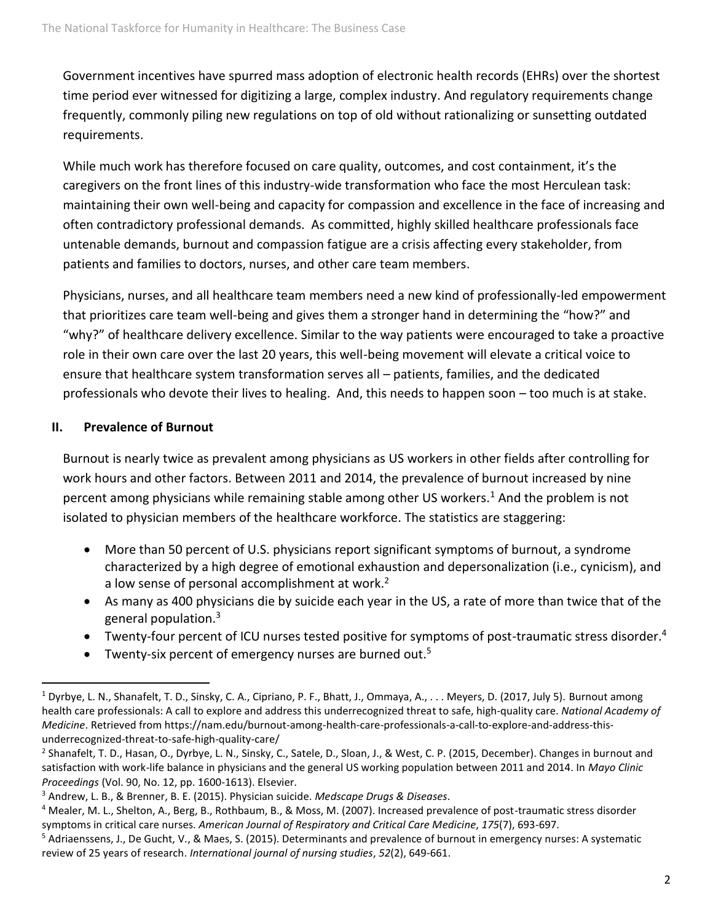Government incentives have spurred mass adoption of electronic health records (EHRs) over the shortest time period ever witnessed for digitizing a large, complex industry. And regulatory requirements change frequently, commonly piling new regulations on top of old without rationalizing or sunsetting outdated requirements.

While much work has therefore focused on care quality, outcomes, and cost containment, it's the caregivers on the front lines of this industry-wide transformation who face the most Herculean task: maintaining their own well-being and capacity for compassion and excellence in the face of increasing and often contradictory professional demands. As committed, highly skilled healthcare professionals face untenable demands, burnout and compassion fatigue are a crisis affecting every stakeholder, from patients and families to doctors, nurses, and other care team members.

Physicians, nurses, and all healthcare team members need a new kind of professionally-led empowerment that prioritizes care team well-being and gives them a stronger hand in determining the "how?" and "why?" of healthcare delivery excellence. Similar to the way patients were encouraged to take a proactive role in their own care over the last 20 years, this well-being movement will elevate a critical voice to ensure that healthcare system transformation serves all – patients, families, and the dedicated professionals who devote their lives to healing. And, this needs to happen soon – too much is at stake.

## **II. Prevalence of Burnout**

Burnout is nearly twice as prevalent among physicians as US workers in other fields after controlling for work hours and other factors. Between 2011 and 2014, the prevalence of burnout increased by nine percent among physicians while remaining stable among other US workers.<sup>1</sup> And the problem is not isolated to physician members of the healthcare workforce. The statistics are staggering:

- More than 50 percent of U.S. physicians report significant symptoms of burnout, a syndrome characterized by a high degree of emotional exhaustion and depersonalization (i.e., cynicism), and a low sense of personal accomplishment at work.<sup>2</sup>
- As many as 400 physicians die by suicide each year in the US, a rate of more than twice that of the general population.<sup>3</sup>
- Twenty-four percent of ICU nurses tested positive for symptoms of post-traumatic stress disorder.<sup>4</sup>
- Twenty-six percent of emergency nurses are burned out.<sup>5</sup>

<sup>&</sup>lt;sup>1</sup> Dyrbye, L. N., Shanafelt, T. D., Sinsky, C. A., Cipriano, P. F., Bhatt, J., Ommaya, A., . . . Meyers, D. (2017, July 5). Burnout among health care professionals: A call to explore and address this underrecognized threat to safe, high-quality care. *National Academy of Medicine*. Retrieved from https://nam.edu/burnout-among-health-care-professionals-a-call-to-explore-and-address-thisunderrecognized-threat-to-safe-high-quality-care/

<sup>&</sup>lt;sup>2</sup> Shanafelt, T. D., Hasan, O., Dyrbye, L. N., Sinsky, C., Satele, D., Sloan, J., & West, C. P. (2015, December). Changes in burnout and satisfaction with work-life balance in physicians and the general US working population between 2011 and 2014. In *Mayo Clinic Proceedings* (Vol. 90, No. 12, pp. 1600-1613). Elsevier.

<sup>3</sup> Andrew, L. B., & Brenner, B. E. (2015). Physician suicide. *Medscape Drugs & Diseases*.

<sup>4</sup> Mealer, M. L., Shelton, A., Berg, B., Rothbaum, B., & Moss, M. (2007). Increased prevalence of post-traumatic stress disorder symptoms in critical care nurses. *American Journal of Respiratory and Critical Care Medicine*, *175*(7), 693-697.

<sup>&</sup>lt;sup>5</sup> Adriaenssens, J., De Gucht, V., & Maes, S. (2015). Determinants and prevalence of burnout in emergency nurses: A systematic review of 25 years of research. *International journal of nursing studies*, *52*(2), 649-661.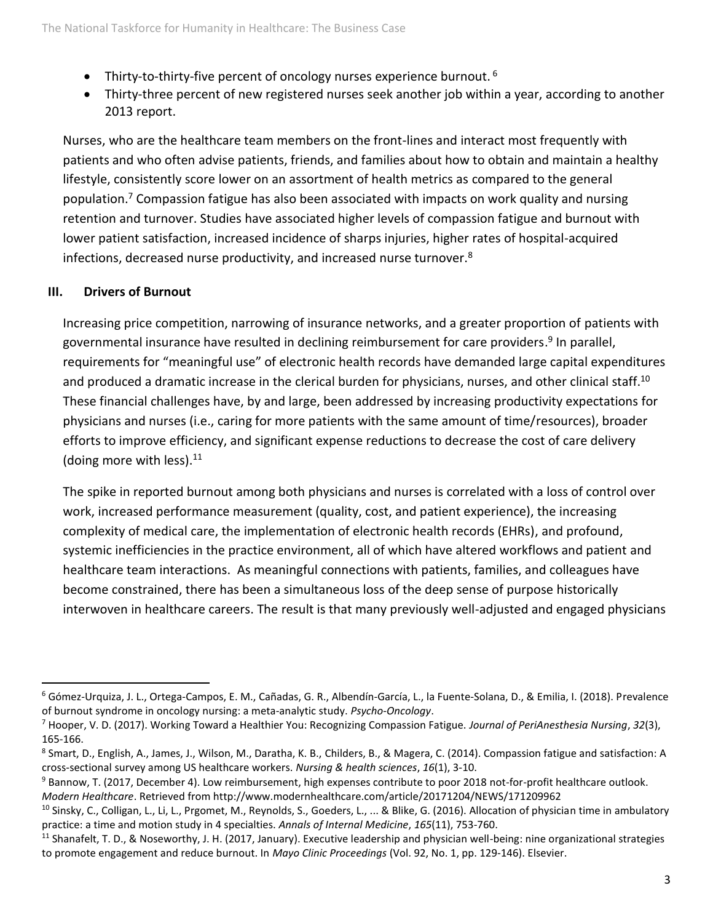- Thirty-to-thirty-five percent of oncology nurses experience burnout.  $6$
- Thirty-three percent of new registered nurses seek another job within a year, according to another 2013 report.

Nurses, who are the healthcare team members on the front-lines and interact most frequently with patients and who often advise patients, friends, and families about how to obtain and maintain a healthy lifestyle, consistently score lower on an assortment of health metrics as compared to the general population.<sup>7</sup> Compassion fatigue has also been associated with impacts on work quality and nursing retention and turnover. Studies have associated higher levels of compassion fatigue and burnout with lower patient satisfaction, increased incidence of sharps injuries, higher rates of hospital-acquired infections, decreased nurse productivity, and increased nurse turnover.<sup>8</sup>

## **III. Drivers of Burnout**

Increasing price competition, narrowing of insurance networks, and a greater proportion of patients with governmental insurance have resulted in declining reimbursement for care providers.<sup>9</sup> In parallel, requirements for "meaningful use" of electronic health records have demanded large capital expenditures and produced a dramatic increase in the clerical burden for physicians, nurses, and other clinical staff.<sup>10</sup> These financial challenges have, by and large, been addressed by increasing productivity expectations for physicians and nurses (i.e., caring for more patients with the same amount of time/resources), broader efforts to improve efficiency, and significant expense reductions to decrease the cost of care delivery (doing more with less). $11$ 

The spike in reported burnout among both physicians and nurses is correlated with a loss of control over work, increased performance measurement (quality, cost, and patient experience), the increasing complexity of medical care, the implementation of electronic health records (EHRs), and profound, systemic inefficiencies in the practice environment, all of which have altered workflows and patient and healthcare team interactions. As meaningful connections with patients, families, and colleagues have become constrained, there has been a simultaneous loss of the deep sense of purpose historically interwoven in healthcare careers. The result is that many previously well-adjusted and engaged physicians

<sup>6</sup> Gómez‐Urquiza, J. L., Ortega‐Campos, E. M., Cañadas, G. R., Albendín‐García, L., la Fuente‐Solana, D., & Emilia, I. (2018). Prevalence of burnout syndrome in oncology nursing: a meta‐analytic study. *Psycho‐Oncology*.

<sup>7</sup> Hooper, V. D. (2017). Working Toward a Healthier You: Recognizing Compassion Fatigue. *Journal of PeriAnesthesia Nursing*, *32*(3), 165-166.

<sup>8</sup> Smart, D., English, A., James, J., Wilson, M., Daratha, K. B., Childers, B., & Magera, C. (2014). Compassion fatigue and satisfaction: A cross‐sectional survey among US healthcare workers. *Nursing & health sciences*, *16*(1), 3-10.

<sup>&</sup>lt;sup>9</sup> Bannow, T. (2017, December 4). Low reimbursement, high expenses contribute to poor 2018 not-for-profit healthcare outlook. *Modern Healthcare*. Retrieved from http://www.modernhealthcare.com/article/20171204/NEWS/171209962

<sup>&</sup>lt;sup>10</sup> Sinsky, C., Colligan, L., Li, L., Prgomet, M., Reynolds, S., Goeders, L., ... & Blike, G. (2016). Allocation of physician time in ambulatory practice: a time and motion study in 4 specialties. *Annals of Internal Medicine*, *165*(11), 753-760.

<sup>&</sup>lt;sup>11</sup> Shanafelt, T. D., & Noseworthy, J. H. (2017, January). Executive leadership and physician well-being: nine organizational strategies to promote engagement and reduce burnout. In *Mayo Clinic Proceedings* (Vol. 92, No. 1, pp. 129-146). Elsevier.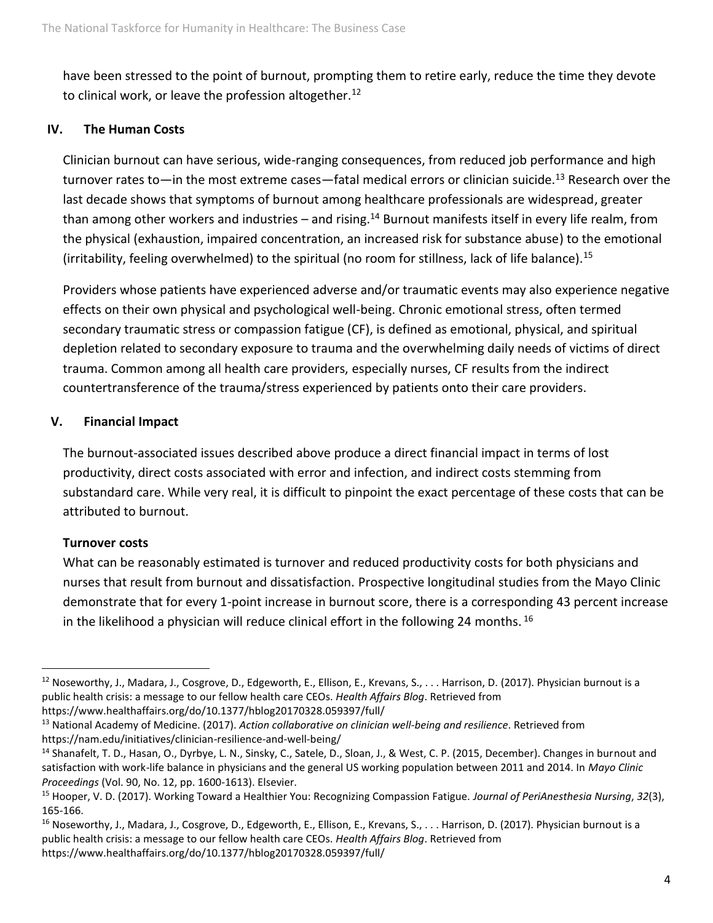have been stressed to the point of burnout, prompting them to retire early, reduce the time they devote to clinical work, or leave the profession altogether.<sup>12</sup>

#### **IV. The Human Costs**

Clinician burnout can have serious, wide-ranging consequences, from reduced job performance and high turnover rates to—in the most extreme cases—fatal medical errors or clinician suicide.<sup>13</sup> Research over the last decade shows that symptoms of burnout among healthcare professionals are widespread, greater than among other workers and industries – and rising.<sup>14</sup> Burnout manifests itself in every life realm, from the physical (exhaustion, impaired concentration, an increased risk for substance abuse) to the emotional (irritability, feeling overwhelmed) to the spiritual (no room for stillness, lack of life balance).<sup>15</sup>

Providers whose patients have experienced adverse and/or traumatic events may also experience negative effects on their own physical and psychological well-being. Chronic emotional stress, often termed secondary traumatic stress or compassion fatigue (CF), is defined as emotional, physical, and spiritual depletion related to secondary exposure to trauma and the overwhelming daily needs of victims of direct trauma. Common among all health care providers, especially nurses, CF results from the indirect countertransference of the trauma/stress experienced by patients onto their care providers.

#### **V. Financial Impact**

The burnout-associated issues described above produce a direct financial impact in terms of lost productivity, direct costs associated with error and infection, and indirect costs stemming from substandard care. While very real, it is difficult to pinpoint the exact percentage of these costs that can be attributed to burnout.

#### **Turnover costs**

What can be reasonably estimated is turnover and reduced productivity costs for both physicians and nurses that result from burnout and dissatisfaction. Prospective longitudinal studies from the Mayo Clinic demonstrate that for every 1-point increase in burnout score, there is a corresponding 43 percent increase in the likelihood a physician will reduce clinical effort in the following 24 months.  $^{16}$ 

https://www.healthaffairs.org/do/10.1377/hblog20170328.059397/full/

 $12$  Noseworthy, J., Madara, J., Cosgrove, D., Edgeworth, E., Ellison, E., Krevans, S.,  $\dots$  Harrison, D. (2017). Physician burnout is a public health crisis: a message to our fellow health care CEOs. *Health Affairs Blog*. Retrieved from

<sup>13</sup> National Academy of Medicine. (2017). *Action collaborative on clinician well-being and resilience*. Retrieved from https://nam.edu/initiatives/clinician-resilience-and-well-being/

<sup>&</sup>lt;sup>14</sup> Shanafelt, T. D., Hasan, O., Dyrbye, L. N., Sinsky, C., Satele, D., Sloan, J., & West, C. P. (2015, December). Changes in burnout and satisfaction with work-life balance in physicians and the general US working population between 2011 and 2014. In *Mayo Clinic Proceedings* (Vol. 90, No. 12, pp. 1600-1613). Elsevier.

<sup>15</sup> Hooper, V. D. (2017). Working Toward a Healthier You: Recognizing Compassion Fatigue. *Journal of PeriAnesthesia Nursing*, *32*(3), 165-166.

<sup>&</sup>lt;sup>16</sup> Noseworthy, J., Madara, J., Cosgrove, D., Edgeworth, E., Ellison, E., Krevans, S., . . . Harrison, D. (2017). Physician burnout is a public health crisis: a message to our fellow health care CEOs. *Health Affairs Blog*. Retrieved from https://www.healthaffairs.org/do/10.1377/hblog20170328.059397/full/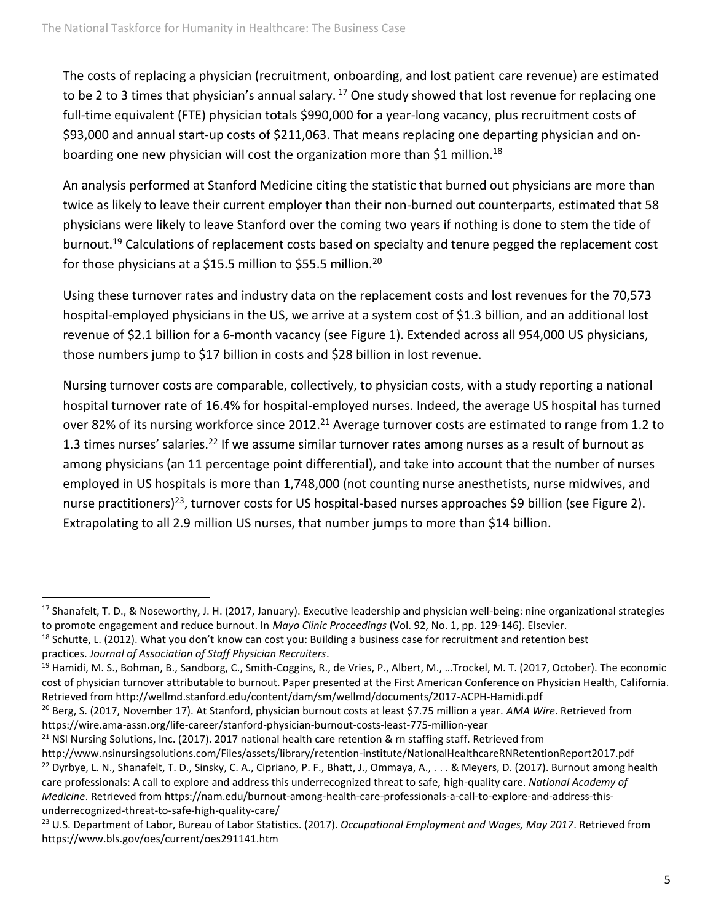The costs of replacing a physician (recruitment, onboarding, and lost patient care revenue) are estimated to be 2 to 3 times that physician's annual salary.  $17$  One study showed that lost revenue for replacing one full-time equivalent (FTE) physician totals \$990,000 for a year-long vacancy, plus recruitment costs of \$93,000 and annual start-up costs of \$211,063. That means replacing one departing physician and onboarding one new physician will cost the organization more than \$1 million.<sup>18</sup>

An analysis performed at Stanford Medicine citing the statistic that burned out physicians are more than twice as likely to leave their current employer than their non-burned out counterparts, estimated that 58 physicians were likely to leave Stanford over the coming two years if nothing is done to stem the tide of burnout.<sup>19</sup> Calculations of replacement costs based on specialty and tenure pegged the replacement cost for those physicians at a \$15.5 million to \$55.5 million.<sup>20</sup>

Using these turnover rates and industry data on the replacement costs and lost revenues for the 70,573 hospital-employed physicians in the US, we arrive at a system cost of \$1.3 billion, and an additional lost revenue of \$2.1 billion for a 6-month vacancy (see Figure 1). Extended across all 954,000 US physicians, those numbers jump to \$17 billion in costs and \$28 billion in lost revenue.

Nursing turnover costs are comparable, collectively, to physician costs, with a study reporting a national hospital turnover rate of 16.4% for hospital-employed nurses. Indeed, the average US hospital has turned over 82% of its nursing workforce since 2012.<sup>21</sup> Average turnover costs are estimated to range from 1.2 to 1.3 times nurses' salaries.<sup>22</sup> If we assume similar turnover rates among nurses as a result of burnout as among physicians (an 11 percentage point differential), and take into account that the number of nurses employed in US hospitals is more than 1,748,000 (not counting nurse anesthetists, nurse midwives, and nurse practitioners)<sup>23</sup>, turnover costs for US hospital-based nurses approaches \$9 billion (see Figure 2). Extrapolating to all 2.9 million US nurses, that number jumps to more than \$14 billion.

<sup>&</sup>lt;sup>17</sup> Shanafelt, T. D., & Noseworthy, J. H. (2017, January). Executive leadership and physician well-being: nine organizational strategies to promote engagement and reduce burnout. In *Mayo Clinic Proceedings* (Vol. 92, No. 1, pp. 129-146). Elsevier.

 $18$  Schutte, L. (2012). What you don't know can cost you: Building a business case for recruitment and retention best practices. *Journal of Association of Staff Physician Recruiters*.

<sup>&</sup>lt;sup>19</sup> Hamidi, M. S., Bohman, B., Sandborg, C., Smith-Coggins, R., de Vries, P., Albert, M., ...Trockel, M. T. (2017, October). The economic cost of physician turnover attributable to burnout. Paper presented at the First American Conference on Physician Health, California. Retrieved from http://wellmd.stanford.edu/content/dam/sm/wellmd/documents/2017-ACPH-Hamidi.pdf

<sup>20</sup> Berg, S. (2017, November 17). At Stanford, physician burnout costs at least \$7.75 million a year. *AMA Wire*. Retrieved from https://wire.ama-assn.org/life-career/stanford-physician-burnout-costs-least-775-million-year

<sup>&</sup>lt;sup>21</sup> NSI Nursing Solutions, Inc. (2017). 2017 national health care retention & rn staffing staff. Retrieved from

http://www.nsinursingsolutions.com/Files/assets/library/retention-institute/NationalHealthcareRNRetentionReport2017.pdf  $^{22}$  Dyrbye, L. N., Shanafelt, T. D., Sinsky, C. A., Cipriano, P. F., Bhatt, J., Ommaya, A.,  $\ldots$  & Meyers, D. (2017). Burnout among health care professionals: A call to explore and address this underrecognized threat to safe, high-quality care. *National Academy of Medicine*. Retrieved from https://nam.edu/burnout-among-health-care-professionals-a-call-to-explore-and-address-thisunderrecognized-threat-to-safe-high-quality-care/

<sup>23</sup> U.S. Department of Labor, Bureau of Labor Statistics. (2017). *Occupational Employment and Wages, May 2017*. Retrieved from https://www.bls.gov/oes/current/oes291141.htm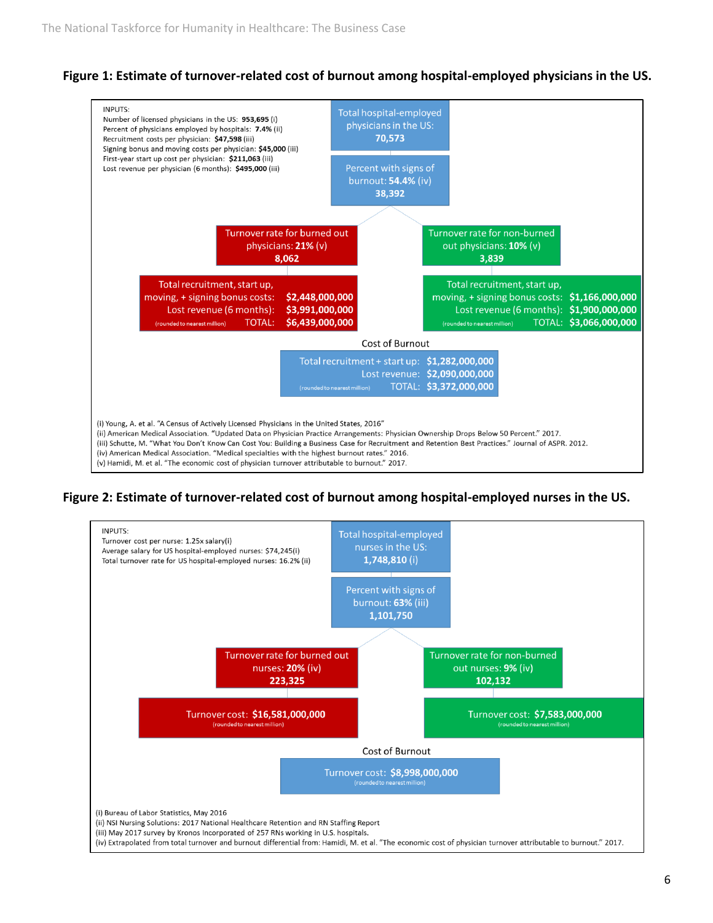## **Figure 1: Estimate of turnover-related cost of burnout among hospital-employed physicians in the US.**



## **Figure 2: Estimate of turnover-related cost of burnout among hospital-employed nurses in the US.**

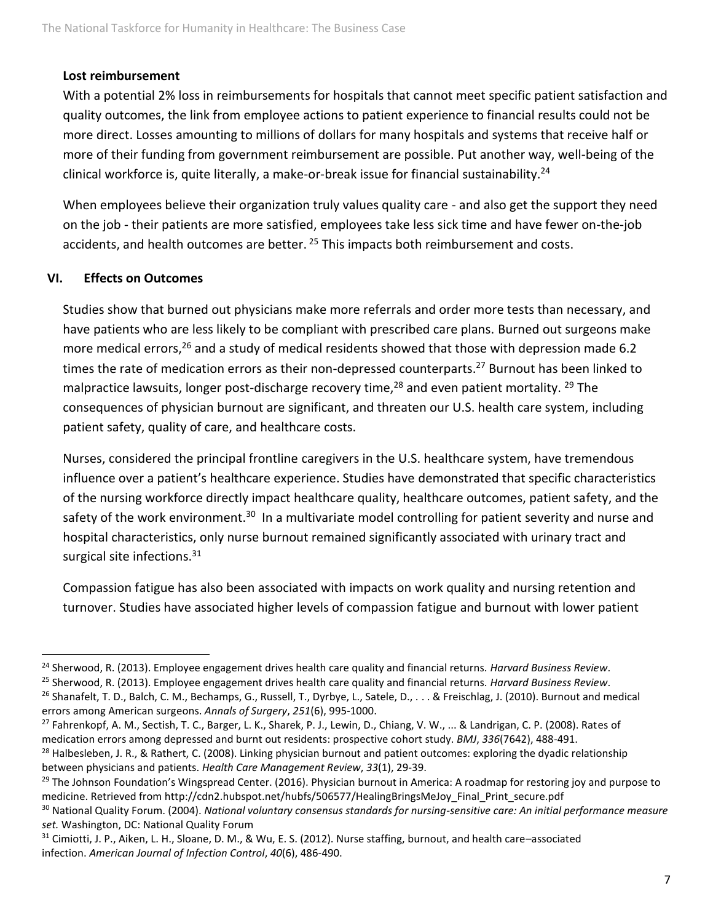#### **Lost reimbursement**

With a potential 2% loss in reimbursements for hospitals that cannot meet specific patient satisfaction and quality outcomes, the link from employee actions to patient experience to financial results could not be more direct. Losses amounting to millions of dollars for many hospitals and systems that receive half or more of their funding from government reimbursement are possible. Put another way, well-being of the clinical workforce is, quite literally, a make-or-break issue for financial sustainability.<sup>24</sup>

When employees believe their organization truly values quality care - and also get the support they need on the job - their patients are more satisfied, employees take less sick time and have fewer on-the-job accidents, and health outcomes are better. <sup>25</sup> This impacts both reimbursement and costs.

#### **VI. Effects on Outcomes**

Studies show that burned out physicians make more referrals and order more tests than necessary, and have patients who are less likely to be compliant with prescribed care plans. Burned out surgeons make more medical errors,<sup>26</sup> and a study of medical residents showed that those with depression made 6.2 times the rate of medication errors as their non-depressed counterparts.<sup>27</sup> Burnout has been linked to malpractice lawsuits, longer post-discharge recovery time,  $^{28}$  and even patient mortality.  $^{29}$  The consequences of physician burnout are significant, and threaten our U.S. health care system, including patient safety, quality of care, and healthcare costs.

Nurses, considered the principal frontline caregivers in the U.S. healthcare system, have tremendous influence over a patient's healthcare experience. Studies have demonstrated that specific characteristics of the nursing workforce directly impact healthcare quality, healthcare outcomes, patient safety, and the safety of the work environment.<sup>30</sup> In a multivariate model controlling for patient severity and nurse and hospital characteristics, only nurse burnout remained significantly associated with urinary tract and surgical site infections.<sup>31</sup>

Compassion fatigue has also been associated with impacts on work quality and nursing retention and turnover. Studies have associated higher levels of compassion fatigue and burnout with lower patient

<sup>27</sup> Fahrenkopf, A. M., Sectish, T. C., Barger, L. K., Sharek, P. J., Lewin, D., Chiang, V. W., ... & Landrigan, C. P. (2008). Rates of medication errors among depressed and burnt out residents: prospective cohort study. *BMJ*, *336*(7642), 488-491.

<sup>28</sup> Halbesleben, J. R., & Rathert, C. (2008). Linking physician burnout and patient outcomes: exploring the dyadic relationship between physicians and patients. *Health Care Management Review*, *33*(1), 29-39.

<sup>24</sup> Sherwood, R. (2013). Employee engagement drives health care quality and financial returns. *Harvard Business Review*. <sup>25</sup> Sherwood, R. (2013). Employee engagement drives health care quality and financial returns. *Harvard Business Review*.  $^{26}$  Shanafelt, T. D., Balch, C. M., Bechamps, G., Russell, T., Dyrbye, L., Satele, D.,  $\ldots$  & Freischlag, J. (2010). Burnout and medical errors among American surgeons. *Annals of Surgery*, *251*(6), 995-1000.

 $^{29}$  The Johnson Foundation's Wingspread Center. (2016). Physician burnout in America: A roadmap for restoring joy and purpose to medicine. Retrieved from http://cdn2.hubspot.net/hubfs/506577/HealingBringsMeJoy\_Final\_Print\_secure.pdf

<sup>30</sup> National Quality Forum. (2004). *National voluntary consensus standards for nursing-sensitive care: An initial performance measure set.* Washington, DC: National Quality Forum

<sup>31</sup> Cimiotti, J. P., Aiken, L. H., Sloane, D. M., & Wu, E. S. (2012). Nurse staffing, burnout, and health care-associated infection. *American Journal of Infection Control*, *40*(6), 486-490.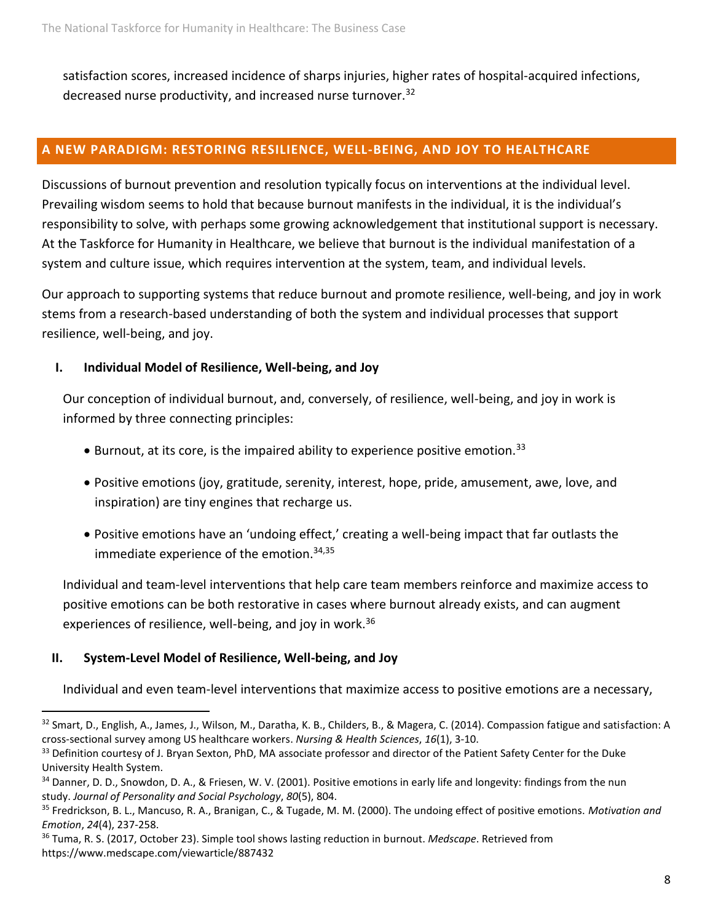satisfaction scores, increased incidence of sharps injuries, higher rates of hospital-acquired infections, decreased nurse productivity, and increased nurse turnover.<sup>32</sup>

## **A NEW PARADIGM: RESTORING RESILIENCE, WELL-BEING, AND JOY TO HEALTHCARE**

Discussions of burnout prevention and resolution typically focus on interventions at the individual level. Prevailing wisdom seems to hold that because burnout manifests in the individual, it is the individual's responsibility to solve, with perhaps some growing acknowledgement that institutional support is necessary. At the Taskforce for Humanity in Healthcare, we believe that burnout is the individual manifestation of a system and culture issue, which requires intervention at the system, team, and individual levels.

Our approach to supporting systems that reduce burnout and promote resilience, well-being, and joy in work stems from a research-based understanding of both the system and individual processes that support resilience, well-being, and joy.

#### **I. Individual Model of Resilience, Well-being, and Joy**

Our conception of individual burnout, and, conversely, of resilience, well-being, and joy in work is informed by three connecting principles:

- $\bullet$  Burnout, at its core, is the impaired ability to experience positive emotion.<sup>33</sup>
- Positive emotions (joy, gratitude, serenity, interest, hope, pride, amusement, awe, love, and inspiration) are tiny engines that recharge us.
- Positive emotions have an 'undoing effect,' creating a well-being impact that far outlasts the immediate experience of the emotion.<sup>34,35</sup>

Individual and team-level interventions that help care team members reinforce and maximize access to positive emotions can be both restorative in cases where burnout already exists, and can augment experiences of resilience, well-being, and joy in work.<sup>36</sup>

## **II. System-Level Model of Resilience, Well-being, and Joy**

Individual and even team-level interventions that maximize access to positive emotions are a necessary,

<sup>32</sup> Smart, D., English, A., James, J., Wilson, M., Daratha, K. B., Childers, B., & Magera, C. (2014). Compassion fatigue and satisfaction: A cross‐sectional survey among US healthcare workers. *Nursing & Health Sciences*, *16*(1), 3-10.

<sup>33</sup> Definition courtesy of J. Bryan Sexton, PhD, MA associate professor and director of the Patient Safety Center for the Duke University Health System.

<sup>34</sup> Danner, D. D., Snowdon, D. A., & Friesen, W. V. (2001). Positive emotions in early life and longevity: findings from the nun study. *Journal of Personality and Social Psychology*, *80*(5), 804.

<sup>35</sup> Fredrickson, B. L., Mancuso, R. A., Branigan, C., & Tugade, M. M. (2000). The undoing effect of positive emotions. *Motivation and Emotion*, *24*(4), 237-258.

<sup>36</sup> Tuma, R. S. (2017, October 23). Simple tool shows lasting reduction in burnout. *Medscape*. Retrieved from https://www.medscape.com/viewarticle/887432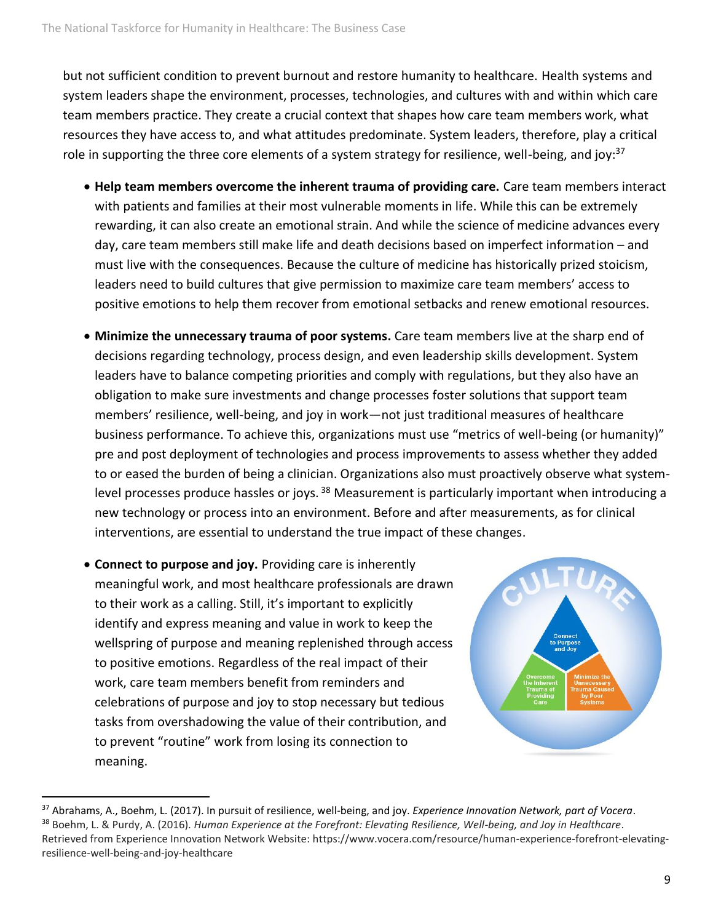but not sufficient condition to prevent burnout and restore humanity to healthcare. Health systems and system leaders shape the environment, processes, technologies, and cultures with and within which care team members practice. They create a crucial context that shapes how care team members work, what resources they have access to, and what attitudes predominate. System leaders, therefore, play a critical role in supporting the three core elements of a system strategy for resilience, well-being, and joy:<sup>37</sup>

- **Help team members overcome the inherent trauma of providing care.** Care team members interact with patients and families at their most vulnerable moments in life. While this can be extremely rewarding, it can also create an emotional strain. And while the science of medicine advances every day, care team members still make life and death decisions based on imperfect information – and must live with the consequences. Because the culture of medicine has historically prized stoicism, leaders need to build cultures that give permission to maximize care team members' access to positive emotions to help them recover from emotional setbacks and renew emotional resources.
- **Minimize the unnecessary trauma of poor systems.** Care team members live at the sharp end of decisions regarding technology, process design, and even leadership skills development. System leaders have to balance competing priorities and comply with regulations, but they also have an obligation to make sure investments and change processes foster solutions that support team members' resilience, well-being, and joy in work—not just traditional measures of healthcare business performance. To achieve this, organizations must use "metrics of well-being (or humanity)" pre and post deployment of technologies and process improvements to assess whether they added to or eased the burden of being a clinician. Organizations also must proactively observe what systemlevel processes produce hassles or joys.<sup>38</sup> Measurement is particularly important when introducing a new technology or process into an environment. Before and after measurements, as for clinical interventions, are essential to understand the true impact of these changes.
- **Connect to purpose and joy.** Providing care is inherently meaningful work, and most healthcare professionals are drawn to their work as a calling. Still, it's important to explicitly identify and express meaning and value in work to keep the wellspring of purpose and meaning replenished through access to positive emotions. Regardless of the real impact of their work, care team members benefit from reminders and celebrations of purpose and joy to stop necessary but tedious tasks from overshadowing the value of their contribution, and to prevent "routine" work from losing its connection to meaning.



<sup>37</sup> Abrahams, A., Boehm, L. (2017). In pursuit of resilience, well-being, and joy. *Experience Innovation Network, part of Vocera*. <sup>38</sup> Boehm, L. & Purdy, A. (2016). *Human Experience at the Forefront: Elevating Resilience, Well-being, and Joy in Healthcare*. Retrieved from Experience Innovation Network Website: https://www.vocera.com/resource/human-experience-forefront-elevatingresilience-well-being-and-joy-healthcare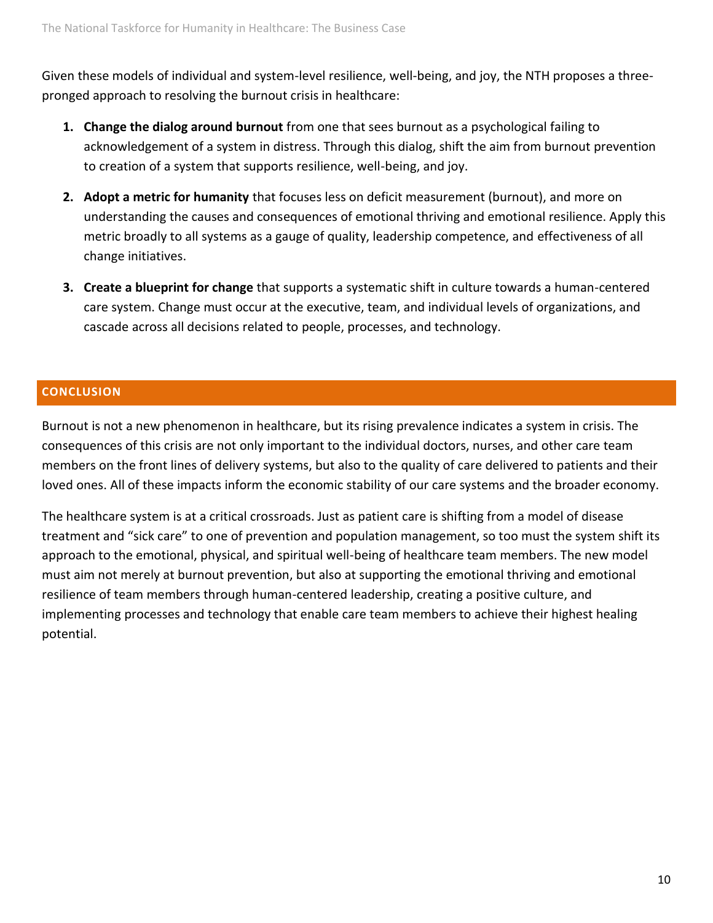Given these models of individual and system-level resilience, well-being, and joy, the NTH proposes a threepronged approach to resolving the burnout crisis in healthcare:

- **1. Change the dialog around burnout** from one that sees burnout as a psychological failing to acknowledgement of a system in distress. Through this dialog, shift the aim from burnout prevention to creation of a system that supports resilience, well-being, and joy.
- **2. Adopt a metric for humanity** that focuses less on deficit measurement (burnout), and more on understanding the causes and consequences of emotional thriving and emotional resilience. Apply this metric broadly to all systems as a gauge of quality, leadership competence, and effectiveness of all change initiatives.
- **3. Create a blueprint for change** that supports a systematic shift in culture towards a human-centered care system. Change must occur at the executive, team, and individual levels of organizations, and cascade across all decisions related to people, processes, and technology.

## **CONCLUSION**

Burnout is not a new phenomenon in healthcare, but its rising prevalence indicates a system in crisis. The consequences of this crisis are not only important to the individual doctors, nurses, and other care team members on the front lines of delivery systems, but also to the quality of care delivered to patients and their loved ones. All of these impacts inform the economic stability of our care systems and the broader economy.

The healthcare system is at a critical crossroads. Just as patient care is shifting from a model of disease treatment and "sick care" to one of prevention and population management, so too must the system shift its approach to the emotional, physical, and spiritual well-being of healthcare team members. The new model must aim not merely at burnout prevention, but also at supporting the emotional thriving and emotional resilience of team members through human-centered leadership, creating a positive culture, and implementing processes and technology that enable care team members to achieve their highest healing potential.